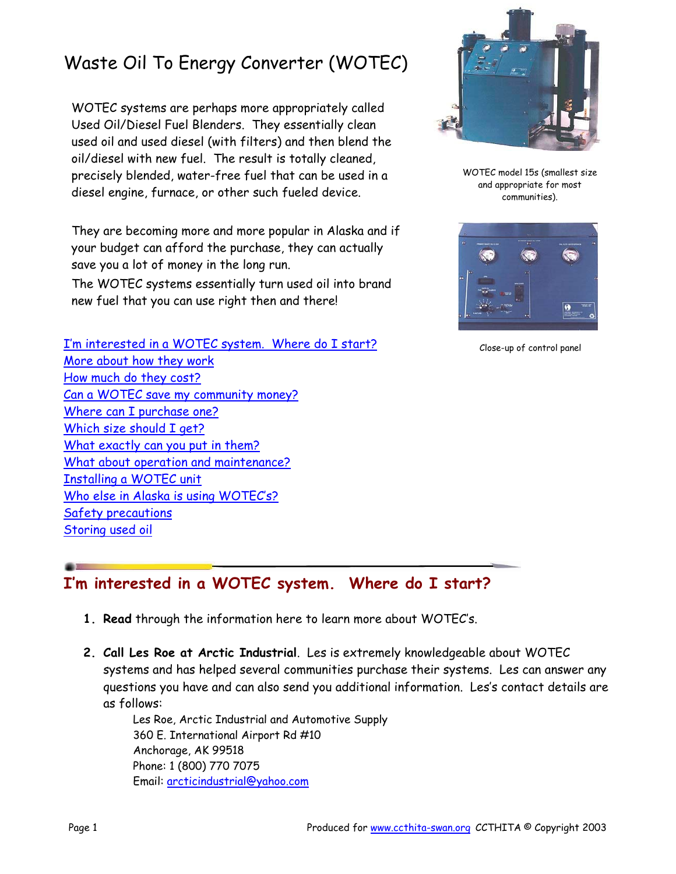# Waste Oil To Energy Converter (WOTEC)

WOTEC systems are perhaps more appropriately called Used Oil/Diesel Fuel Blenders. They essentially clean used oil and used diesel (with filters) and then blend the oil/diesel with new fuel. The result is totally cleaned, precisely blended, water-free fuel that can be used in a diesel engine, furnace, or other such fueled device.

They are becoming more and more popular in Alaska and if your budget can afford the purchase, they can actually save you a lot of money in the long run.

The WOTEC systems essentially turn used oil into brand new fuel that you can use right then and there!

I'm interested in a WOTEC system. Where do I start? More about how they work How much do they cost? Can a WOTEC save my community money? Where can I purchase one? Which size should I get? What exactly can you put in them? What about operation and maintenance? Installing a WOTEC unit Who else in Alaska is using WOTEC's? Safety precautions Storing used oil



WOTEC model 15s (smallest size and appropriate for most communities).



Close-up of control panel

## **I'm interested in a WOTEC system. Where do I start?**

- **1. Read** through the information here to learn more about WOTEC's.
- **2. Call Les Roe at Arctic Industrial**. Les is extremely knowledgeable about WOTEC systems and has helped several communities purchase their systems. Les can answer any questions you have and can also send you additional information. Les's contact details are as follows:

Les Roe, Arctic Industrial and Automotive Supply 360 E. International Airport Rd #10 Anchorage, AK 99518 Phone: 1 (800) 770 7075 Email: arcticindustrial@yahoo.com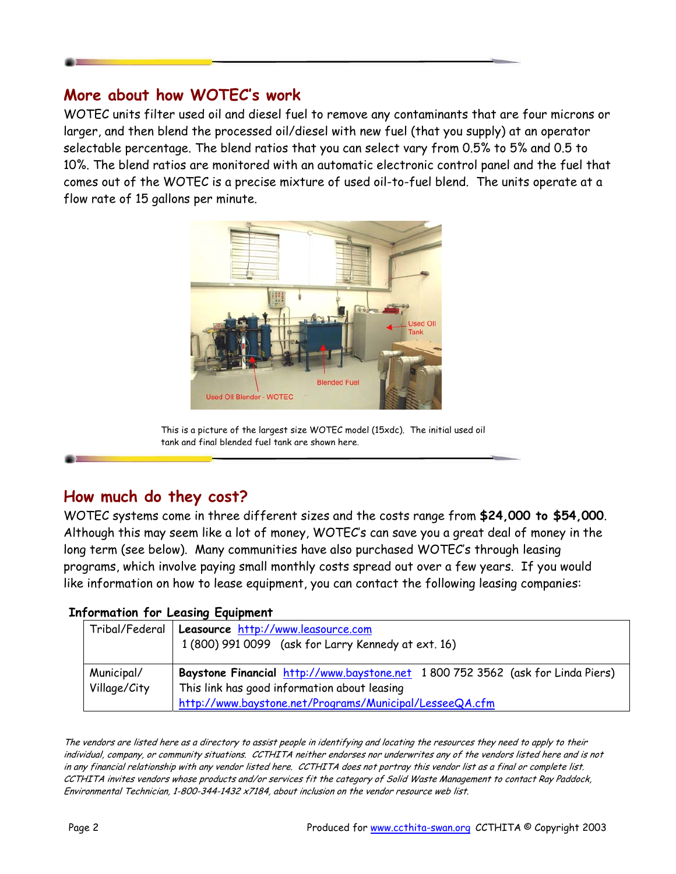#### **More about how WOTEC's work**

WOTEC units filter used oil and diesel fuel to remove any contaminants that are four microns or larger, and then blend the processed oil/diesel with new fuel (that you supply) at an operator selectable percentage. The blend ratios that you can select vary from 0.5% to 5% and 0.5 to 10%. The blend ratios are monitored with an automatic electronic control panel and the fuel that comes out of the WOTEC is a precise mixture of used oil-to-fuel blend. The units operate at a flow rate of 15 gallons per minute.



This is a picture of the largest size WOTEC model (15xdc). The initial used oil tank and final blended fuel tank are shown here.

### **How much do they cost?**

WOTEC systems come in three different sizes and the costs range from **\$24,000 to \$54,000**. Although this may seem like a lot of money, WOTEC's can save you a great deal of money in the long term (see below). Many communities have also purchased WOTEC's through leasing programs, which involve paying small monthly costs spread out over a few years. If you would like information on how to lease equipment, you can contact the following leasing companies:

#### **Information for Leasing Equipment**

|              | Tribal/Federal   Leasource http://www.leasource.com                            |  |
|--------------|--------------------------------------------------------------------------------|--|
|              | 1 (800) 991 0099 (ask for Larry Kennedy at ext. 16)                            |  |
|              |                                                                                |  |
| Municipal/   | Baystone Financial http://www.baystone.net 1800 752 3562 (ask for Linda Piers) |  |
| Village/City | This link has good information about leasing                                   |  |
|              | http://www.baystone.net/Programs/Municipal/LesseeQA.cfm                        |  |

The vendors are listed here as a directory to assist people in identifying and locating the resources they need to apply to their individual, company, or community situations. CCTHITA neither endorses nor underwrites any of the vendors listed here and is not in any financial relationship with any vendor listed here. CCTHITA does not portray this vendor list as a final or complete list. CCTHITA invites vendors whose products and/or services fit the category of Solid Waste Management to contact Ray Paddock, Environmental Technician, 1-800-344-1432 x7184, about inclusion on the vendor resource web list.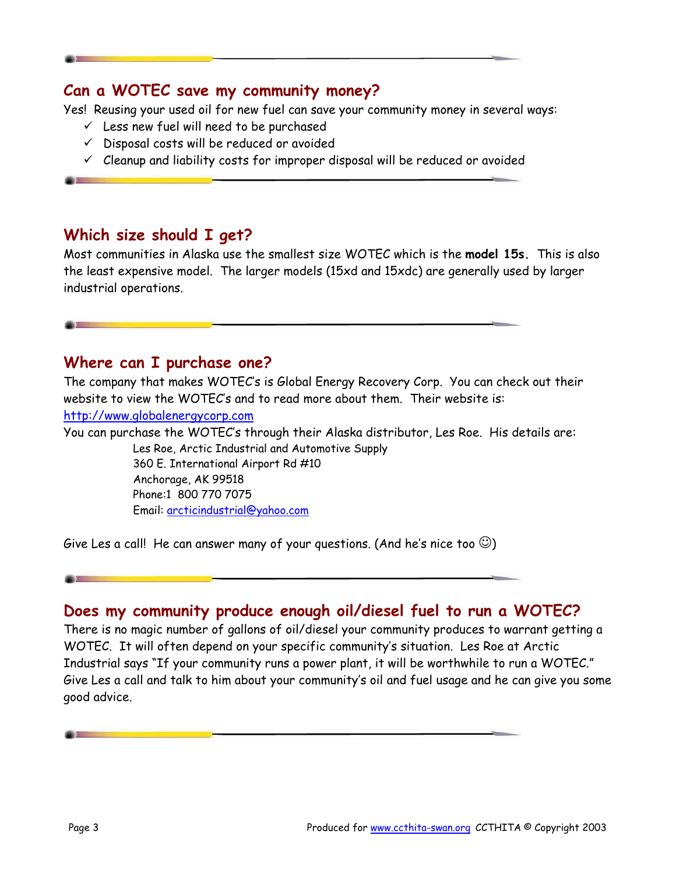#### **Can a WOTEC save my community money?**

Yes! Reusing your used oil for new fuel can save your community money in several ways:

- $\checkmark$  Less new fuel will need to be purchased
- $\checkmark$  Disposal costs will be reduced or avoided
- $\checkmark$  Cleanup and liability costs for improper disposal will be reduced or avoided

#### **Which size should I get?**

Most communities in Alaska use the smallest size WOTEC which is the **model 15s.** This is also the least expensive model. The larger models (15xd and 15xdc) are generally used by larger industrial operations.

#### **Where can I purchase one?**

The company that makes WOTEC's is Global Energy Recovery Corp. You can check out their website to view the WOTEC's and to read more about them. Their website is:

<http://www.globalenergycorp.com>

You can purchase the WOTEC's through their Alaska distributor, Les Roe. His details are: Les Roe, Arctic Industrial and Automotive Supply 360 E. International Airport Rd #10 Anchorage, AK 99518 Phone:1 800 770 7075

Email: arcticindustrial@yahoo.com

Give Les a call! He can answer many of your questions. (And he's nice too  $\circledcirc$ )

#### **Does my community produce enough oil/diesel fuel to run a WOTEC?**

There is no magic number of gallons of oil/diesel your community produces to warrant getting a WOTEC. It will often depend on your specific community's situation. Les Roe at Arctic Industrial says "If your community runs a power plant, it will be worthwhile to run a WOTEC." Give Les a call and talk to him about your community's oil and fuel usage and he can give you some good advice.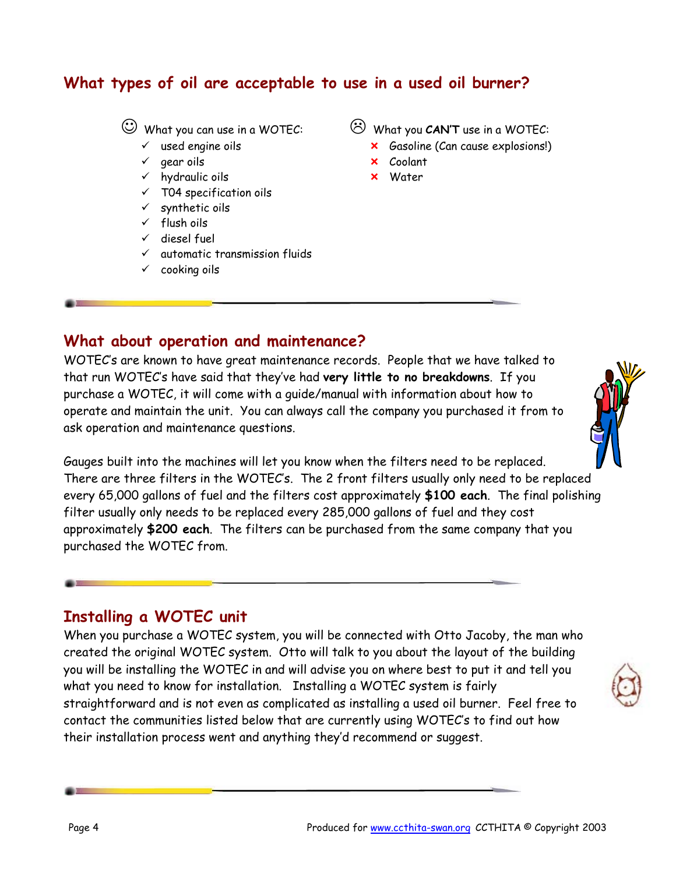### **What types of oil are acceptable to use in a used oil burner?**

☺ What you can use in a WOTEC:

- $\checkmark$  used engine oils
- $\checkmark$  gear oils
- $\checkmark$  hydraulic oils
- $\times$  T04 specification oils
- $\checkmark$  synthetic oils
- $\checkmark$  flush oils
- $\checkmark$  diesel fuel
- $\checkmark$  automatic transmission fluids
- $\checkmark$  cooking oils

/ What you **CAN'T** use in a WOTEC:

- **x** Gasoline (Can cause explosions!)
- **x** Coolant
- **x** Water

#### **What about operation and maintenance?**

WOTEC's are known to have great maintenance records. People that we have talked to that run WOTEC's have said that they've had **very little to no breakdowns**. If you purchase a WOTEC, it will come with a guide/manual with information about how to operate and maintain the unit. You can always call the company you purchased it from to ask operation and maintenance questions.



Gauges built into the machines will let you know when the filters need to be replaced. There are three filters in the WOTEC's. The 2 front filters usually only need to be replaced every 65,000 gallons of fuel and the filters cost approximately **\$100 each**. The final polishing filter usually only needs to be replaced every 285,000 gallons of fuel and they cost approximately **\$200 each**. The filters can be purchased from the same company that you purchased the WOTEC from.

#### **Installing a WOTEC unit**

When you purchase a WOTEC system, you will be connected with Otto Jacoby, the man who created the original WOTEC system. Otto will talk to you about the layout of the building you will be installing the WOTEC in and will advise you on where best to put it and tell you what you need to know for installation. Installing a WOTEC system is fairly straightforward and is not even as complicated as installing a used oil burner. Feel free to contact the communities listed below that are currently using WOTEC's to find out how their installation process went and anything they'd recommend or suggest.